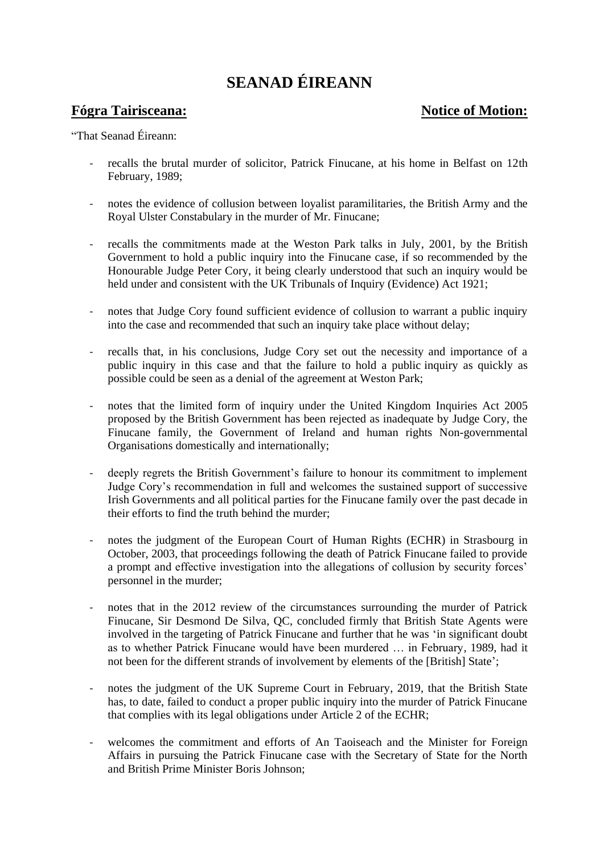## **SEANAD ÉIREANN**

## **Fógra Tairisceana: Notice of Motion: Notice of Motion:**

"That Seanad Éireann:

- recalls the brutal murder of solicitor, Patrick Finucane, at his home in Belfast on 12th February, 1989;
- notes the evidence of collusion between loyalist paramilitaries, the British Army and the Royal Ulster Constabulary in the murder of Mr. Finucane;
- recalls the commitments made at the Weston Park talks in July, 2001, by the British Government to hold a public inquiry into the Finucane case, if so recommended by the Honourable Judge Peter Cory, it being clearly understood that such an inquiry would be held under and consistent with the UK Tribunals of Inquiry (Evidence) Act 1921;
- notes that Judge Cory found sufficient evidence of collusion to warrant a public inquiry into the case and recommended that such an inquiry take place without delay;
- recalls that, in his conclusions, Judge Cory set out the necessity and importance of a public inquiry in this case and that the failure to hold a public inquiry as quickly as possible could be seen as a denial of the agreement at Weston Park;
- notes that the limited form of inquiry under the United Kingdom Inquiries Act 2005 proposed by the British Government has been rejected as inadequate by Judge Cory, the Finucane family, the Government of Ireland and human rights Non-governmental Organisations domestically and internationally;
- deeply regrets the British Government's failure to honour its commitment to implement Judge Cory's recommendation in full and welcomes the sustained support of successive Irish Governments and all political parties for the Finucane family over the past decade in their efforts to find the truth behind the murder;
- notes the judgment of the European Court of Human Rights (ECHR) in Strasbourg in October, 2003, that proceedings following the death of Patrick Finucane failed to provide a prompt and effective investigation into the allegations of collusion by security forces' personnel in the murder;
- notes that in the 2012 review of the circumstances surrounding the murder of Patrick Finucane, Sir Desmond De Silva, QC, concluded firmly that British State Agents were involved in the targeting of Patrick Finucane and further that he was 'in significant doubt as to whether Patrick Finucane would have been murdered … in February, 1989, had it not been for the different strands of involvement by elements of the [British] State';
- notes the judgment of the UK Supreme Court in February, 2019, that the British State has, to date, failed to conduct a proper public inquiry into the murder of Patrick Finucane that complies with its legal obligations under Article 2 of the ECHR;
- welcomes the commitment and efforts of An Taoiseach and the Minister for Foreign Affairs in pursuing the Patrick Finucane case with the Secretary of State for the North and British Prime Minister Boris Johnson;